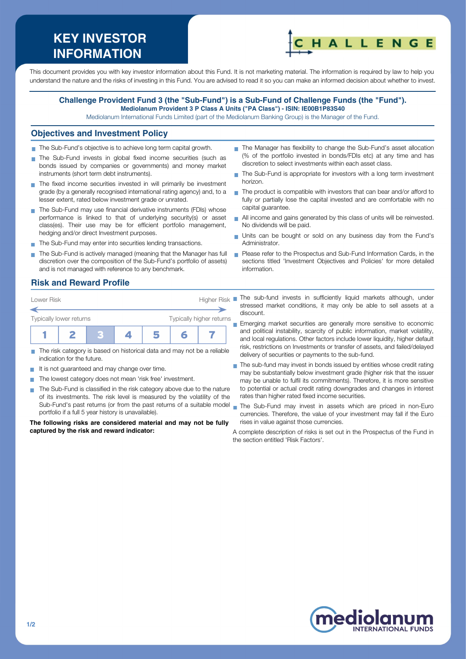# **KEY INVESTOR INFORMATION**



This document provides you with key investor information about this Fund. It is not marketing material. The information is required by law to help you understand the nature and the risks of investing in this Fund. You are advised to read it so you can make an informed decision about whether to invest.

#### **Challenge Provident Fund 3 (the "Sub-Fund") is a Sub-Fund of Challenge Funds (the "Fund"). Mediolanum Provident 3 P Class A Units ("PA Class") - ISIN: IE00B1P83S40**

Mediolanum International Funds Limited (part of the Mediolanum Banking Group) is the Manager of the Fund.

#### **Objectives and Investment Policy**

- The Sub-Fund's objective is to achieve long term capital growth.
- The Sub-Fund invests in global fixed income securities (such as bonds issued by companies or governments) and money market instruments (short term debt instruments).
- The fixed income securities invested in will primarily be investment grade (by a generally recognised international rating agency) and, to a lesser extent, rated below investment grade or unrated.
- The Sub-Fund may use financial derivative instruments (FDIs) whose performance is linked to that of underlying security(s) or asset class(es). Their use may be for efficient portfolio management, hedging and/or direct Investment purposes.
- The Sub-Fund may enter into securities lending transactions.
- The Sub-Fund is actively managed (meaning that the Manager has full discretion over the composition of the Sub-Fund's portfolio of assets) and is not managed with reference to any benchmark.
- The Manager has flexibility to change the Sub-Fund's asset allocation (% of the portfolio invested in bonds/FDIs etc) at any time and has discretion to select investments within each asset class.
- The Sub-Fund is appropriate for investors with a long term investment horizon.
- The product is compatible with investors that can bear and/or afford to fully or partially lose the capital invested and are comfortable with no capital guarantee.
- All income and gains generated by this class of units will be reinvested. No dividends will be paid.
- Units can be bought or sold on any business day from the Fund's Administrator.
- **Please refer to the Prospectus and Sub-Fund Information Cards, in the** sections titled 'Investment Objectives and Policies' for more detailed information.

### **Risk and Reward Profile**



- The risk category is based on historical data and may not be a reliable m. indication for the future.
- It is not quaranteed and may change over time. **COL**
- The lowest category does not mean 'risk free' investment.
- The Sub-Fund is classified in the risk category above due to the nature **COL** of its investments. The risk level is measured by the volatility of the Sub-Fund's past returns (or from the past returns of a suitable model portfolio if a full 5 year history is unavailable).

**The following risks are considered material and may not be fully captured by the risk and reward indicator:**

- stressed market conditions, it may only be able to sell assets at a discount.
- Emerging market securities are generally more sensitive to economic and political instability, scarcity of public information, market volatility, and local regulations. Other factors include lower liquidity, higher default risk, restrictions on Investments or transfer of assets, and failed/delayed delivery of securities or payments to the sub-fund.
- The sub-fund may invest in bonds issued by entities whose credit rating  $\overline{\phantom{a}}$ may be substantially below investment grade (higher risk that the issuer may be unable to fulfil its commitments). Therefore, it is more sensitive to potential or actual credit rating downgrades and changes in interest rates than higher rated fixed income securities.
- The Sub-Fund may invest in assets which are priced in non-Euro currencies. Therefore, the value of your investment may fall if the Euro rises in value against those currencies.
- A complete description of risks is set out in the Prospectus of the Fund in the section entitled 'Risk Factors'.